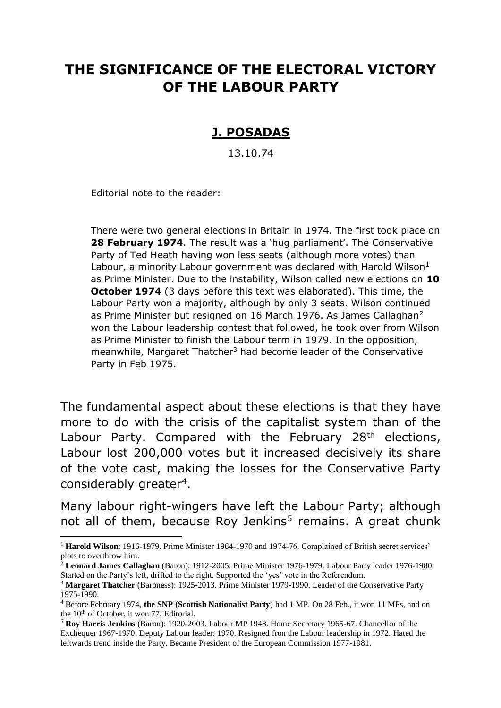# **THE SIGNIFICANCE OF THE ELECTORAL VICTORY OF THE LABOUR PARTY**

# **J. POSADAS**

13.10.74

Editorial note to the reader:

.

There were two general elections in Britain in 1974. The first took place on **28 February 1974**. The result was a 'hug parliament'. The Conservative Party of Ted Heath having won less seats (although more votes) than Labour, a minority Labour government was declared with Harold Wilson $<sup>1</sup>$ </sup> as Prime Minister. Due to the instability, Wilson called new elections on **10 October 1974** (3 days before this text was elaborated). This time, the Labour Party won a majority, although by only 3 seats. Wilson continued as Prime Minister but resigned on 16 March 1976. As James Callaghan<sup>2</sup> won the Labour leadership contest that followed, he took over from Wilson as Prime Minister to finish the Labour term in 1979. In the opposition, meanwhile, Margaret Thatcher<sup>3</sup> had become leader of the Conservative Party in Feb 1975.

The fundamental aspect about these elections is that they have more to do with the crisis of the capitalist system than of the Labour Party. Compared with the February 28<sup>th</sup> elections, Labour lost 200,000 votes but it increased decisively its share of the vote cast, making the losses for the Conservative Party considerably greater<sup>4</sup>.

Many labour right-wingers have left the Labour Party; although not all of them, because Roy Jenkins<sup>5</sup> remains. A great chunk

<sup>1</sup> **Harold Wilson**: 1916-1979. Prime Minister 1964-1970 and 1974-76. Complained of British secret services' plots to overthrow him.

<sup>2</sup> **Leonard James Callaghan** (Baron): 1912-2005. Prime Minister 1976-1979. Labour Party leader 1976-1980. Started on the Party's left, drifted to the right. Supported the 'yes' vote in the Referendum.

<sup>3</sup> **Margaret Thatcher** (Baroness): 1925-2013. Prime Minister 1979-1990. Leader of the Conservative Party 1975-1990.

<sup>4</sup> Before February 1974, **the SNP (Scottish Nationalist Party**) had 1 MP. On 28 Feb., it won 11 MPs, and on the  $10<sup>th</sup>$  of October, it won 77. Editorial.

<sup>5</sup> **Roy Harris Jenkins** (Baron): 1920-2003. Labour MP 1948. Home Secretary 1965-67. Chancellor of the Exchequer 1967-1970. Deputy Labour leader: 1970. Resigned fron the Labour leadership in 1972. Hated the leftwards trend inside the Party. Became President of the European Commission 1977-1981.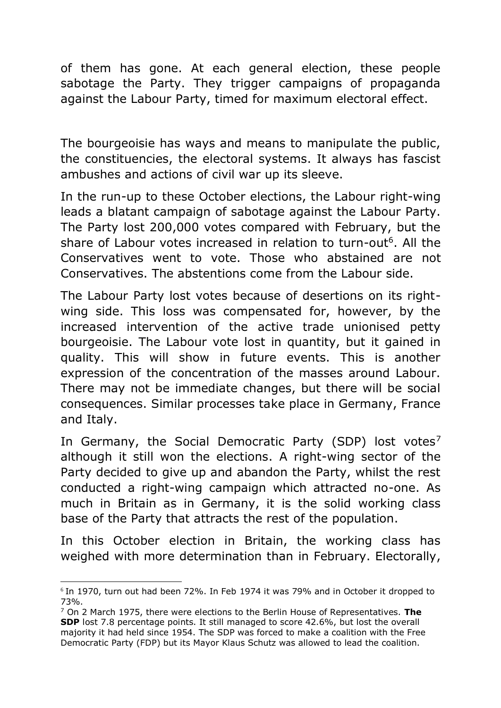of them has gone. At each general election, these people sabotage the Party. They trigger campaigns of propaganda against the Labour Party, timed for maximum electoral effect.

The bourgeoisie has ways and means to manipulate the public, the constituencies, the electoral systems. It always has fascist ambushes and actions of civil war up its sleeve.

In the run-up to these October elections, the Labour right-wing leads a blatant campaign of sabotage against the Labour Party. The Party lost 200,000 votes compared with February, but the share of Labour votes increased in relation to turn-out<sup>6</sup>. All the Conservatives went to vote. Those who abstained are not Conservatives. The abstentions come from the Labour side.

The Labour Party lost votes because of desertions on its rightwing side. This loss was compensated for, however, by the increased intervention of the active trade unionised petty bourgeoisie. The Labour vote lost in quantity, but it gained in quality. This will show in future events. This is another expression of the concentration of the masses around Labour. There may not be immediate changes, but there will be social consequences. Similar processes take place in Germany, France and Italy.

In Germany, the Social Democratic Party (SDP) lost votes<sup>7</sup> although it still won the elections. A right-wing sector of the Party decided to give up and abandon the Party, whilst the rest conducted a right-wing campaign which attracted no-one. As much in Britain as in Germany, it is the solid working class base of the Party that attracts the rest of the population.

In this October election in Britain, the working class has weighed with more determination than in February. Electorally,

.

<sup>6</sup> In 1970, turn out had been 72%. In Feb 1974 it was 79% and in October it dropped to 73%.

<sup>7</sup> On 2 March 1975, there were elections to the Berlin House of Representatives. **The SDP** lost 7.8 percentage points. It still managed to score 42.6%, but lost the overall majority it had held since 1954. The SDP was forced to make a coalition with the Free Democratic Party (FDP) but its Mayor Klaus Schutz was allowed to lead the coalition.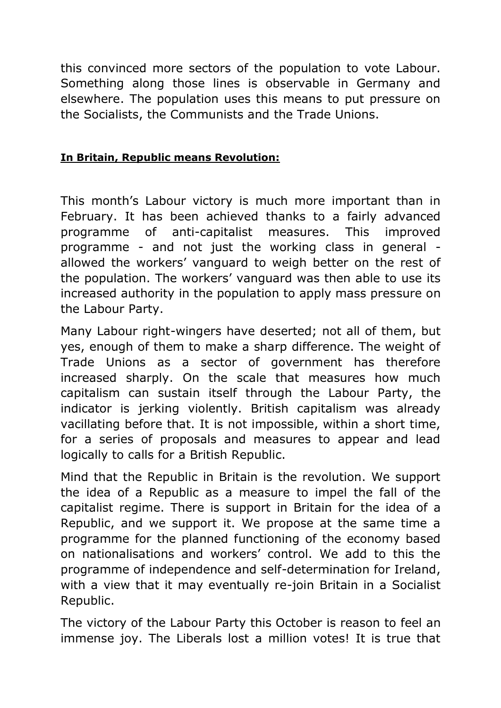this convinced more sectors of the population to vote Labour. Something along those lines is observable in Germany and elsewhere. The population uses this means to put pressure on the Socialists, the Communists and the Trade Unions.

#### **In Britain, Republic means Revolution:**

This month's Labour victory is much more important than in February. It has been achieved thanks to a fairly advanced programme of anti-capitalist measures. This improved programme - and not just the working class in general allowed the workers' vanguard to weigh better on the rest of the population. The workers' vanguard was then able to use its increased authority in the population to apply mass pressure on the Labour Party.

Many Labour right-wingers have deserted; not all of them, but yes, enough of them to make a sharp difference. The weight of Trade Unions as a sector of government has therefore increased sharply. On the scale that measures how much capitalism can sustain itself through the Labour Party, the indicator is jerking violently. British capitalism was already vacillating before that. It is not impossible, within a short time, for a series of proposals and measures to appear and lead logically to calls for a British Republic.

Mind that the Republic in Britain is the revolution. We support the idea of a Republic as a measure to impel the fall of the capitalist regime. There is support in Britain for the idea of a Republic, and we support it. We propose at the same time a programme for the planned functioning of the economy based on nationalisations and workers' control. We add to this the programme of independence and self-determination for Ireland, with a view that it may eventually re-join Britain in a Socialist Republic.

The victory of the Labour Party this October is reason to feel an immense joy. The Liberals lost a million votes! It is true that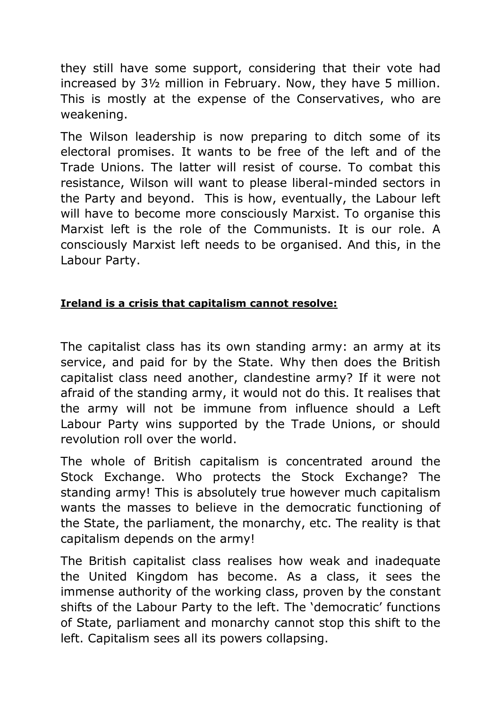they still have some support, considering that their vote had increased by 3½ million in February. Now, they have 5 million. This is mostly at the expense of the Conservatives, who are weakening.

The Wilson leadership is now preparing to ditch some of its electoral promises. It wants to be free of the left and of the Trade Unions. The latter will resist of course. To combat this resistance, Wilson will want to please liberal-minded sectors in the Party and beyond. This is how, eventually, the Labour left will have to become more consciously Marxist. To organise this Marxist left is the role of the Communists. It is our role. A consciously Marxist left needs to be organised. And this, in the Labour Party.

# **Ireland is a crisis that capitalism cannot resolve:**

The capitalist class has its own standing army: an army at its service, and paid for by the State. Why then does the British capitalist class need another, clandestine army? If it were not afraid of the standing army, it would not do this. It realises that the army will not be immune from influence should a Left Labour Party wins supported by the Trade Unions, or should revolution roll over the world.

The whole of British capitalism is concentrated around the Stock Exchange. Who protects the Stock Exchange? The standing army! This is absolutely true however much capitalism wants the masses to believe in the democratic functioning of the State, the parliament, the monarchy, etc. The reality is that capitalism depends on the army!

The British capitalist class realises how weak and inadequate the United Kingdom has become. As a class, it sees the immense authority of the working class, proven by the constant shifts of the Labour Party to the left. The 'democratic' functions of State, parliament and monarchy cannot stop this shift to the left. Capitalism sees all its powers collapsing.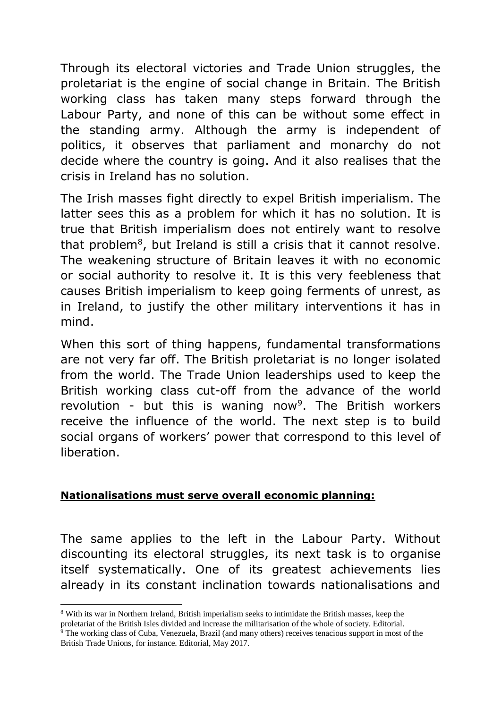Through its electoral victories and Trade Union struggles, the proletariat is the engine of social change in Britain. The British working class has taken many steps forward through the Labour Party, and none of this can be without some effect in the standing army. Although the army is independent of politics, it observes that parliament and monarchy do not decide where the country is going. And it also realises that the crisis in Ireland has no solution.

The Irish masses fight directly to expel British imperialism. The latter sees this as a problem for which it has no solution. It is true that British imperialism does not entirely want to resolve that problem $8$ , but Ireland is still a crisis that it cannot resolve. The weakening structure of Britain leaves it with no economic or social authority to resolve it. It is this very feebleness that causes British imperialism to keep going ferments of unrest, as in Ireland, to justify the other military interventions it has in mind.

When this sort of thing happens, fundamental transformations are not very far off. The British proletariat is no longer isolated from the world. The Trade Union leaderships used to keep the British working class cut-off from the advance of the world revolution - but this is waning now<sup>9</sup>. The British workers receive the influence of the world. The next step is to build social organs of workers' power that correspond to this level of liberation.

## **Nationalisations must serve overall economic planning:**

The same applies to the left in the Labour Party. Without discounting its electoral struggles, its next task is to organise itself systematically. One of its greatest achievements lies already in its constant inclination towards nationalisations and

.

<sup>8</sup> With its war in Northern Ireland, British imperialism seeks to intimidate the British masses, keep the proletariat of the British Isles divided and increase the militarisation of the whole of society. Editorial.

 $\frac{1}{9}$  The working class of Cuba, Venezuela, Brazil (and many others) receives tenacious support in most of the British Trade Unions, for instance. Editorial, May 2017.